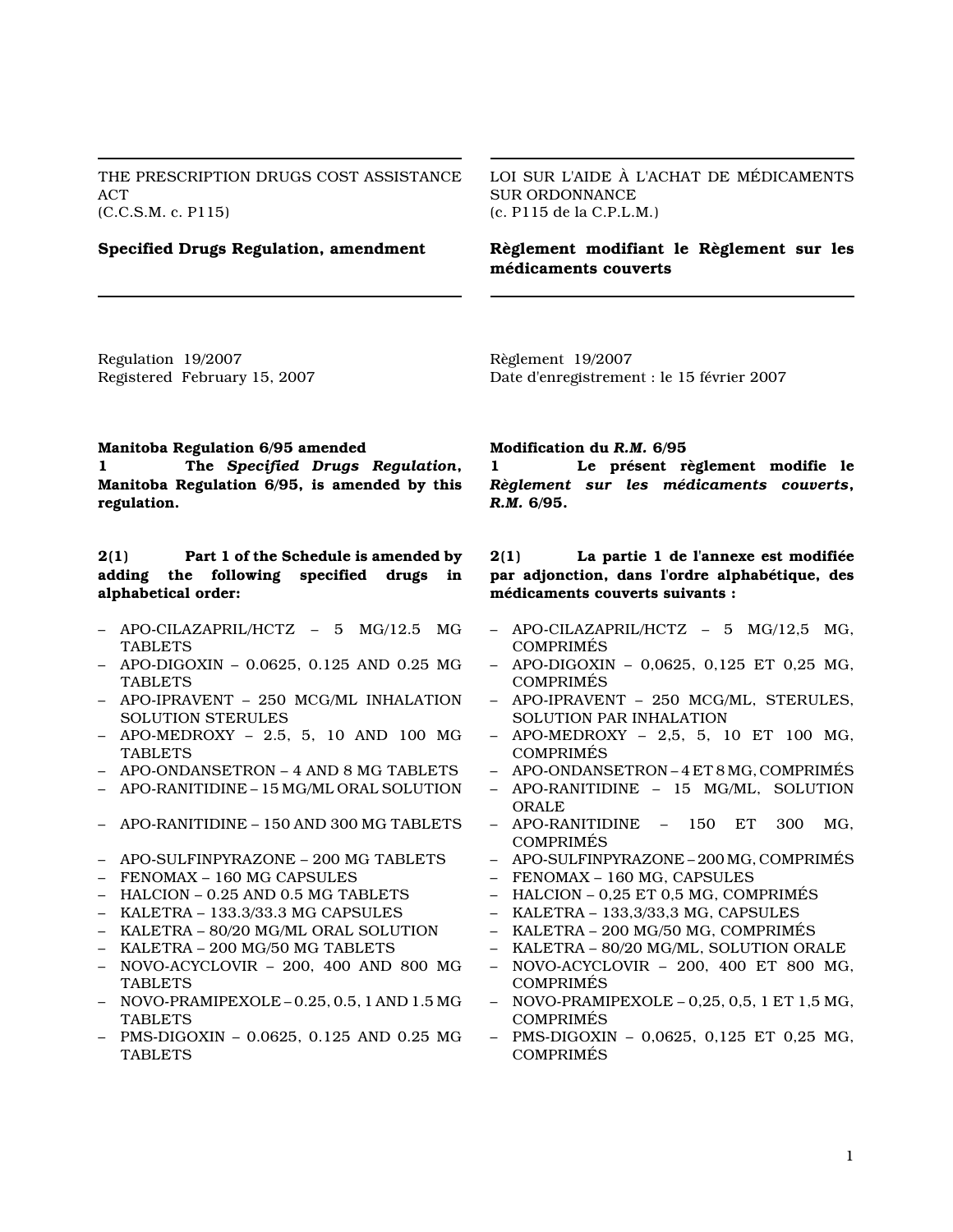THE PRESCRIPTION DRUGS COST ASSISTANCE ACT (C.C.S.M. c. P115)

Specified Drugs Regulation, amendment

LOI SUR L'AIDE À L'ACHAT DE MÉDICAMENTS SUR ORDONNANCE (c. P115 de la C.P.L.M.)

# Règlement modifiant le Règlement sur les médicaments couverts

Regulation 19/2007 Registered February 15, 2007 Règlement 19/2007 Date d'enregistrement : le 15 février 2007

#### Manitoba Regulation 6/95 amended

1 The Specified Drugs Regulation, Manitoba Regulation 6/95, is amended by this regulation.

# 2(1) Part 1 of the Schedule is amended by adding the following specified drugs in alphabetical order:

- APO-CILAZAPRIL/HCTZ 5 MG/12.5 MG **TABLETS**
- APO-DIGOXIN 0.0625, 0.125 AND 0.25 MG TABLETS
- APO-IPRAVENT 250 MCG/ML INHALATION SOLUTION STERULES
- APO-MEDROXY 2.5, 5, 10 AND 100 MG TABLETS
- APO-ONDANSETRON 4 AND 8 MG TABLETS
- APO-RANITIDINE 15 MG/ML ORAL SOLUTION
- APO-RANITIDINE 150 AND 300 MG TABLETS
- APO-SULFINPYRAZONE 200 MG TABLETS
- FENOMAX 160 MG CAPSULES
- HALCION 0.25 AND 0.5 MG TABLETS
- KALETRA 133.3/33.3 MG CAPSULES
- KALETRA 80/20 MG/ML ORAL SOLUTION
- KALETRA 200 MG/50 MG TABLETS
- NOVO-ACYCLOVIR 200, 400 AND 800 MG TABLETS
- NOVO-PRAMIPEXOLE 0.25, 0.5, 1 AND 1.5 MG TABLETS
- PMS-DIGOXIN 0.0625, 0.125 AND 0.25 MG TABLETS

#### Modification du R.M. 6/95

1 Le présent règlement modifie le Règlement sur les médicaments couverts, R.M. 6/95.

## 2(1) La partie 1 de l'annexe est modifiée par adjonction, dans l'ordre alphabétique, des médicaments couverts suivants :

- APO-CILAZAPRIL/HCTZ 5 MG/12,5 MG, COMPRIMÉS
- APO-DIGOXIN 0,0625, 0,125 ET 0,25 MG, COMPRIMÉS
- APO-IPRAVENT 250 MCG/ML, STERULES, SOLUTION PAR INHALATION
- APO-MEDROXY 2,5, 5, 10 ET 100 MG, COMPRIMÉS
- APO-ONDANSETRON 4 ET 8 MG, COMPRIMÉS
- APO-RANITIDINE 15 MG/ML, SOLUTION ORALE
- APO-RANITIDINE 150 ET 300 MG, COMPRIMÉS
- APO-SULFINPYRAZONE 200 MG, COMPRIMÉS
- FENOMAX 160 MG, CAPSULES
- HALCION 0,25 ET 0,5 MG, COMPRIMÉS
- KALETRA 133,3/33,3 MG, CAPSULES
- KALETRA 200 MG/50 MG, COMPRIMÉS
- KALETRA 80/20 MG/ML, SOLUTION ORALE
- NOVO-ACYCLOVIR 200, 400 ET 800 MG, COMPRIMÉS
- NOVO-PRAMIPEXOLE 0,25, 0,5, 1 ET 1,5 MG, COMPRIMÉS
- PMS-DIGOXIN 0,0625, 0,125 ET 0,25 MG, COMPRIMÉS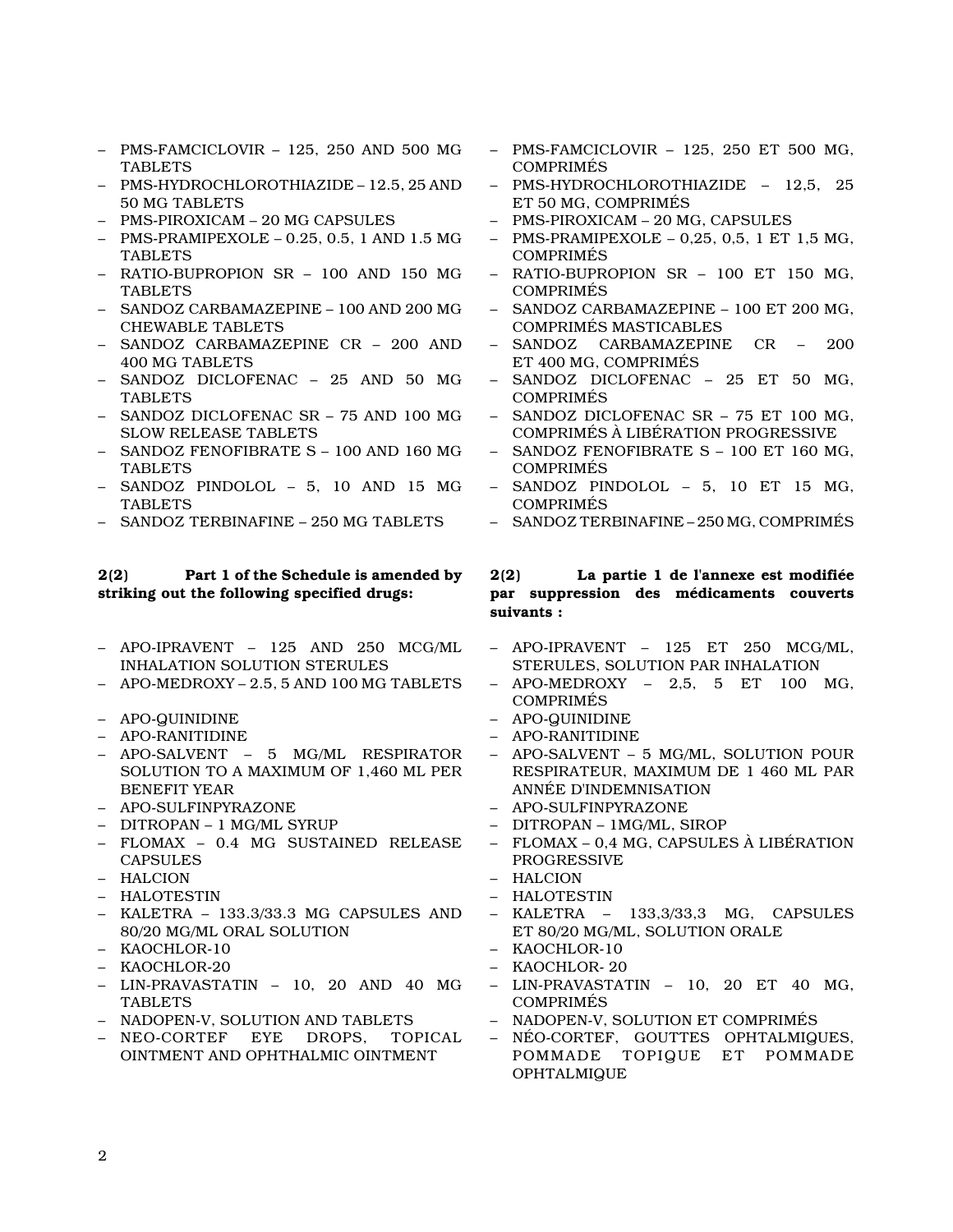- PMS-FAMCICLOVIR 125, 250 AND 500 MG TABLETS
- PMS-HYDROCHLOROTHIAZIDE 12.5, 25 AND 50 MG TABLETS
- PMS-PIROXICAM 20 MG CAPSULES
- PMS-PRAMIPEXOLE 0.25, 0.5, 1 AND 1.5 MG **TABLETS**
- RATIO-BUPROPION SR 100 AND 150 MG TABLETS
- SANDOZ CARBAMAZEPINE 100 AND 200 MG CHEWABLE TABLETS
- SANDOZ CARBAMAZEPINE CR 200 AND 400 MG TABLETS
- SANDOZ DICLOFENAC 25 AND 50 MG TABLETS
- SANDOZ DICLOFENAC SR 75 AND 100 MG SLOW RELEASE TABLETS
- SANDOZ FENOFIBRATE S 100 AND 160 MG TABLETS
- SANDOZ PINDOLOL 5, 10 AND 15 MG TABLETS
- SANDOZ TERBINAFINE 250 MG TABLETS

#### 2(2) Part 1 of the Schedule is amended by striking out the following specified drugs:

- APO-IPRAVENT 125 AND 250 MCG/ML INHALATION SOLUTION STERULES
- APO-MEDROXY 2.5, 5 AND 100 MG TABLETS
- APO-QUINIDINE
- APO-RANITIDINE
- APO-SALVENT 5 MG/ML RESPIRATOR SOLUTION TO A MAXIMUM OF 1,460 ML PER BENEFIT YEAR
- APO-SULFINPYRAZONE
- DITROPAN 1 MG/ML SYRUP
- FLOMAX 0.4 MG SUSTAINED RELEASE **CAPSULES**
- HALCION
- HALOTESTIN
- KALETRA 133.3/33.3 MG CAPSULES AND 80/20 MG/ML ORAL SOLUTION
- KAOCHLOR-10
- KAOCHLOR-20
- LIN-PRAVASTATIN 10, 20 AND 40 MG TABLETS
- NADOPEN-V, SOLUTION AND TABLETS
- NEO-CORTEF EYE DROPS, TOPICAL OINTMENT AND OPHTHALMIC OINTMENT
- PMS-FAMCICLOVIR 125, 250 ET 500 MG, COMPRIMÉS
- PMS-HYDROCHLOROTHIAZIDE 12,5, 25 ET 50 MG, COMPRIMÉS
- PMS-PIROXICAM 20 MG, CAPSULES
- PMS-PRAMIPEXOLE 0,25, 0,5, 1 ET 1,5 MG, COMPRIMÉS
- RATIO-BUPROPION SR 100 ET 150 MG, COMPRIMÉS
- SANDOZ CARBAMAZEPINE 100 ET 200 MG, COMPRIMÉS MASTICABLES
- SANDOZ CARBAMAZEPINE CR 200 ET 400 MG, COMPRIMÉS
- SANDOZ DICLOFENAC 25 ET 50 MG, COMPRIMÉS
- SANDOZ DICLOFENAC SR 75 ET 100 MG, COMPRIMÉS À LIBÉRATION PROGRESSIVE
- SANDOZ FENOFIBRATE S 100 ET 160 MG, COMPRIMÉS
- SANDOZ PINDOLOL 5, 10 ET 15 MG, COMPRIMÉS
- SANDOZ TERBINAFINE 250 MG, COMPRIMÉS

## 2(2) La partie 1 de l'annexe est modifiée par suppression des médicaments couverts suivants :

- APO-IPRAVENT 125 ET 250 MCG/ML, STERULES, SOLUTION PAR INHALATION
- APO-MEDROXY 2,5, 5 ET 100 MG, COMPRIMÉS
- APO-QUINIDINE
- APO-RANITIDINE
- APO-SALVENT 5 MG/ML, SOLUTION POUR RESPIRATEUR, MAXIMUM DE 1 460 ML PAR ANNÉE D'INDEMNISATION
- APO-SULFINPYRAZONE
- DITROPAN 1MG/ML, SIROP
- FLOMAX 0,4 MG, CAPSULES À LIBÉRATION PROGRESSIVE
- HALCION
- HALOTESTIN
- KALETRA 133,3/33,3 MG, CAPSULES ET 80/20 MG/ML, SOLUTION ORALE
- KAOCHLOR-10
- KAOCHLOR- 20
- LIN-PRAVASTATIN 10, 20 ET 40 MG, COMPRIMÉS
- NADOPEN-V, SOLUTION ET COMPRIMÉS
- NÉO-CORTEF, GOUTTES OPHTALMIQUES, POMMADE TOPIQUE ET POMMADE OPHTALMIQUE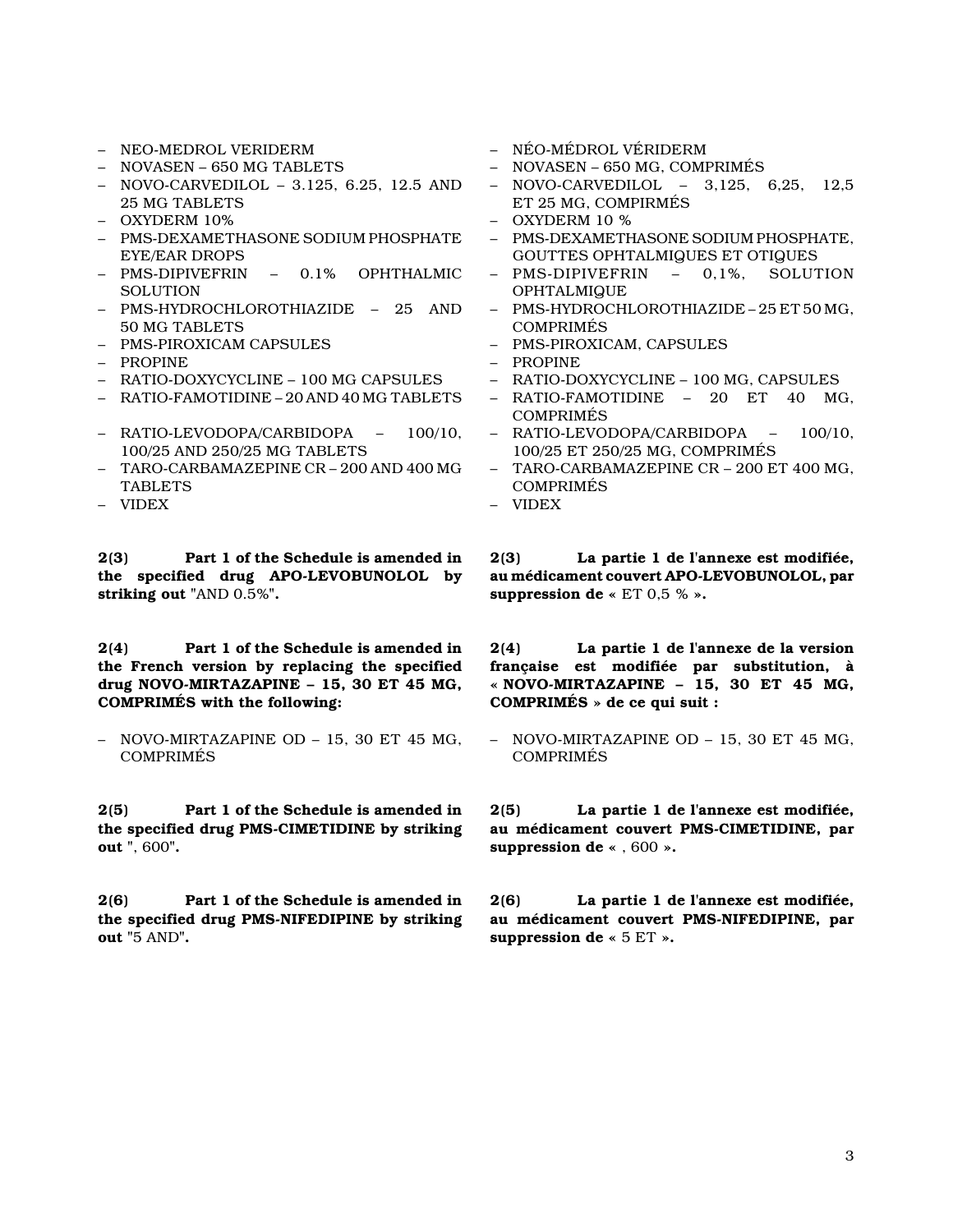- NEO-MEDROL VERIDERM
- NOVASEN 650 MG TABLETS
- NOVO-CARVEDILOL 3.125, 6.25, 12.5 AND 25 MG TABLETS
- OXYDERM 10%
- PMS-DEXAMETHASONE SODIUM PHOSPHATE EYE/EAR DROPS
- PMS-DIPIVEFRIN 0.1% OPHTHALMIC **SOLUTION**
- PMS-HYDROCHLOROTHIAZIDE 25 AND 50 MG TABLETS
- PMS-PIROXICAM CAPSULES
- PROPINE
- RATIO-DOXYCYCLINE 100 MG CAPSULES
- RATIO-FAMOTIDINE 20 AND 40 MG TABLETS
- RATIO-LEVODOPA/CARBIDOPA 100/10, 100/25 AND 250/25 MG TABLETS
- TARO-CARBAMAZEPINE CR 200 AND 400 MG TABLETS
- VIDEX

2(3) Part 1 of the Schedule is amended in the specified drug APO-LEVOBUNOLOL by striking out "AND 0.5%".

2(4) Part 1 of the Schedule is amended in the French version by replacing the specified drug NOVO-MIRTAZAPINE – 15, 30 ET 45 MG, COMPRIMÉS with the following:

– NOVO-MIRTAZAPINE OD – 15, 30 ET 45 MG, **COMPRIMÉS** 

2(5) Part 1 of the Schedule is amended in the specified drug PMS-CIMETIDINE by striking out ", 600".

2(6) Part 1 of the Schedule is amended in the specified drug PMS-NIFEDIPINE by striking out "5 AND".

- NÉO-MÉDROL VÉRIDERM
- NOVASEN 650 MG, COMPRIMÉS
- NOVO-CARVEDILOL 3,125, 6,25, 12,5 ET 25 MG, COMPIRMÉS
- OXYDERM 10 %
- PMS-DEXAMETHASONE SODIUM PHOSPHATE, GOUTTES OPHTALMIQUES ET OTIQUES
- PMS-DIPIVEFRIN 0,1%, SOLUTION OPHTALMIQUE
- PMS-HYDROCHLOROTHIAZIDE 25 ET 50 MG, COMPRIMÉS
- PMS-PIROXICAM, CAPSULES
- PROPINE
- RATIO-DOXYCYCLINE 100 MG, CAPSULES
- RATIO-FAMOTIDINE 20 ET 40 MG, COMPRIMÉS
- RATIO-LEVODOPA/CARBIDOPA 100/10, 100/25 ET 250/25 MG, COMPRIMÉS
- TARO-CARBAMAZEPINE CR 200 ET 400 MG, COMPRIMÉS
- VIDEX

2(3) La partie 1 de l'annexe est modifiée, au médicament couvert APO-LEVOBUNOLOL, par suppression de «  $ET 0.5 %$  ».

2(4) La partie 1 de l'annexe de la version française est modifiée par substitution, à « NOVO-MIRTAZAPINE  $-15$ , 30 ET 45 MG, COMPRIMÉS » de ce qui suit :

– NOVO-MIRTAZAPINE OD – 15, 30 ET 45 MG, COMPRIMÉS

2(5) La partie 1 de l'annexe est modifiée, au médicament couvert PMS-CIMETIDINE, par suppression de « , 600 ».

2(6) La partie 1 de l'annexe est modifiée, au médicament couvert PMS-NIFEDIPINE, par suppression de « 5 ET ».